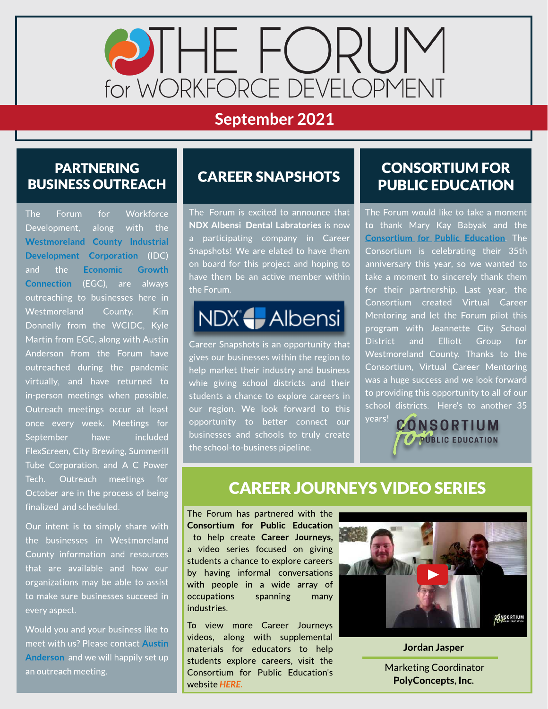

# September 2021

#### PARTNERING **BUSINESS OUTREACH**

The Forum for Workforce Development, along with the [Westmoreland](https://www.co.westmoreland.pa.us/669/WCIDC) [County](https://www.co.westmoreland.pa.us/669/WCIDC) [Industrial](https://www.co.westmoreland.pa.us/669/WCIDC) [Development](https://www.co.westmoreland.pa.us/669/WCIDC) [Corporation](https://www.co.westmoreland.pa.us/669/WCIDC) (IDC) and the [Economic](https://egcw.org/) [Growth](https://egcw.org/) [Connection](https://egcw.org/) (EGC), are always outreaching to businesses here in Westmoreland County. Kim Donnelly from the WCIDC, Kyle Martin from EGC, along with Austin Anderson from the Forum have outreached during the pandemic virtually, and have returned to in-person meetings when possible. Outreach meetings occur at least once every week. Meetings for September have included FlexScreen, City Brewing, Summerill Tube Corporation, and A C Power Tech. Outreach meetings for October are in the process of being finalized and scheduled.

Our intent is to simply share with the businesses in Westmoreland County information and resources that are available and how our organizations may be able to assist to make sure businesses succeed in every aspect.

Would you and your business like to meet with us? Please contact [Austin](mailto:aanderson@egcw.org) [Anderson](mailto:aanderson@egcw.org) and we will happily set up an outreach meeting.

## **CAREER SNAPSHOTS**

The Forum is excited to announce that NDX Albensi Dental Labratories is now a participating company in Career Snapshots! We are elated to have them on board for this project and hoping to have them be an active member within the Forum.

# NDX HAlbensi

Career Snapshots is an opportunity that gives our businesses within the region to help market their industry and business whie giving school districts and their students a chance to explore careers in our region. We look forward to this opportunity to better connect our businesses and schools to truly create the school-to-business pipeline.

#### CONSORTIUM FOR PUBLIC EDUCATION

The Forum would like to take a moment to thank Mary Kay Babyak and the **[Consortium](https://www.theconsortiumforpubliceducation.org/) [for](https://www.theconsortiumforpubliceducation.org/) [Public](https://www.theconsortiumforpubliceducation.org/) [Education](https://www.theconsortiumforpubliceducation.org/).** The Consortium is celebrating their 35th anniversary this year, so we wanted to take a moment to sincerely thank them for their partnership. Last year, the Consortium created Virtual Career Mentoring and let the Forum pilot this program with Jeannette City School District and Elliott Group for Westmoreland County. Thanks to the Consortium, Virtual Career Mentoring was a huge success and we look forward to providing this opportunity to all of our school districts. Here's to another 35

years! CONSORTIUM PUBLIC EDUCATION

### **CAREER JOURNEYS VIDEO SERIES**

The Forum has partnered with the Consortium for Public Education to help create Career Journeys, a video series focused on giving students a chance to explore careers by having informal conversations with people in a wide array of occupations spanning many industries.

To view more Career Journeys videos, along with supplemental materials for educators to help students explore careers, visit the Consortium for Public Education's website **[HERE.](https://www.theconsortiumforpubliceducation.org/career-journeys/)**



Jordan Jasper .

Marketing Coordinator PolyConcepts, Inc.